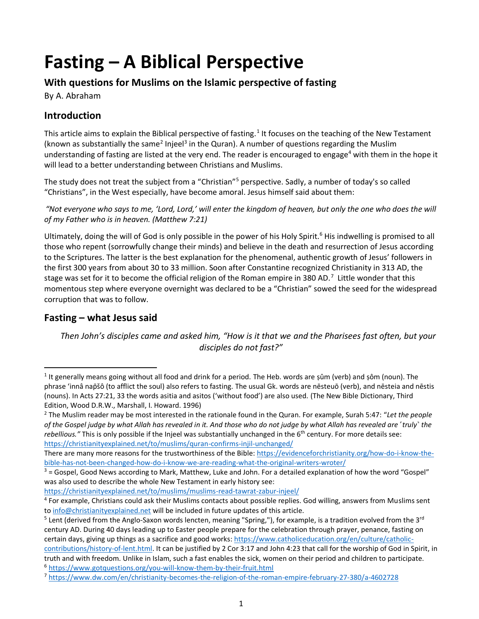# **Fasting – A Biblical Perspective**

# **With questions for Muslims on the Islamic perspective of fasting**

By A. Abraham

# **Introduction**

This article aims to explain the Biblical perspective of fasting.<sup>1</sup> It focuses on the teaching of the New Testament (known as substantially the same<sup>2</sup> Injeel<sup>3</sup> in the Quran). A number of questions regarding the Muslim understanding of fasting are listed at the very end. The reader is encouraged to engage<sup>4</sup> with them in the hope it will lead to a better understanding between Christians and Muslims.

The study does not treat the subject from a "Christian"<sup>5</sup> perspective. Sadly, a number of today's so called "Christians", in the West especially, have become amoral. Jesus himself said about them:

*"Not everyone who says to me, 'Lord, Lord,' will enter the kingdom of heaven, but only the one who does the will of my Father who is in heaven. (Matthew 7:21)*

Ultimately, doing the will of God is only possible in the power of his Holy Spirit.<sup>6</sup> His indwelling is promised to all those who repent (sorrowfully change their minds) and believe in the death and resurrection of Jesus according to the Scriptures. The latter is the best explanation for the phenomenal, authentic growth of Jesus' followers in the first 300 years from about 30 to 33 million. Soon after Constantine recognized Christianity in 313 AD, the stage was set for it to become the official religion of the Roman empire in 380 AD.<sup>7</sup> Little wonder that this momentous step where everyone overnight was declared to be a "Christian" sowed the seed for the widespread corruption that was to follow.

# **Fasting – what Jesus said**

*Then John's disciples came and asked him, "How is it that we and the Pharisees fast often, but your disciples do not fast?"*

<https://christianityexplained.net/to/muslims/muslims-read-tawrat-zabur-injeel/>

<sup>&</sup>lt;sup>1</sup> It generally means going without all food and drink for a period. The Heb. words are ṣûm (verb) and ṣôm (noun). The phrase 'innâ nap̄šô (to afflict the soul) also refers to fasting. The usual Gk. words are nēsteuō (verb), and nēsteia and nēstis (nouns). In Acts 27:21, 33 the words asitia and asitos ('without food') are also used. (The New Bible Dictionary, Third Edition, Wood D.R.W., Marshall, I. Howard. 1996)

<sup>2</sup> The Muslim reader may be most interested in the rationale found in the Quran. For example, Surah 5:47: "*Let the people of the Gospel judge by what Allah has revealed in it. And those who do not judge by what Allah has revealed are ˹truly˺ the*  rebellious.<sup>"</sup> This is only possible if the Injeel was substantially unchanged in the 6<sup>th</sup> century. For more details see: <https://christianityexplained.net/to/muslims/quran-confirms-injil-unchanged/>

There are many more reasons for the trustworthiness of the Bible[: https://evidenceforchristianity.org/how-do-i-know-the](https://evidenceforchristianity.org/how-do-i-know-the-bible-has-not-been-changed-how-do-i-know-we-are-reading-what-the-original-writers-wroter/)[bible-has-not-been-changed-how-do-i-know-we-are-reading-what-the-original-writers-wroter/](https://evidenceforchristianity.org/how-do-i-know-the-bible-has-not-been-changed-how-do-i-know-we-are-reading-what-the-original-writers-wroter/)

 $3$  = Gospel, Good News according to Mark, Matthew, Luke and John. For a detailed explanation of how the word "Gospel" was also used to describe the whole New Testament in early history see:

<sup>&</sup>lt;sup>4</sup> For example, Christians could ask their Muslims contacts about possible replies. God willing, answers from Muslims sent t[o info@christianityexplained.net](mailto:info@christianityexplained.net) will be included in future updates of this article.

<sup>&</sup>lt;sup>5</sup> Lent (derived from the Anglo-Saxon words lencten, meaning "Spring,"), for example, is a tradition evolved from the 3<sup>rd</sup> century AD. During 40 days leading up to Easter people prepare for the celebration through prayer, penance, fasting on certain days, giving up things as a sacrifice and good works[: https://www.catholiceducation.org/en/culture/catholic](https://www.catholiceducation.org/en/culture/catholic-contributions/history-of-lent.html)[contributions/history-of-lent.html.](https://www.catholiceducation.org/en/culture/catholic-contributions/history-of-lent.html) It can be justified by 2 Cor 3:17 and John 4:23 that call for the worship of God in Spirit, in

truth and with freedom. Unlike in Islam, such a fast enables the sick, women on their period and children to participate. <sup>6</sup> <https://www.gotquestions.org/you-will-know-them-by-their-fruit.html>

<sup>7</sup> <https://www.dw.com/en/christianity-becomes-the-religion-of-the-roman-empire-february-27-380/a-4602728>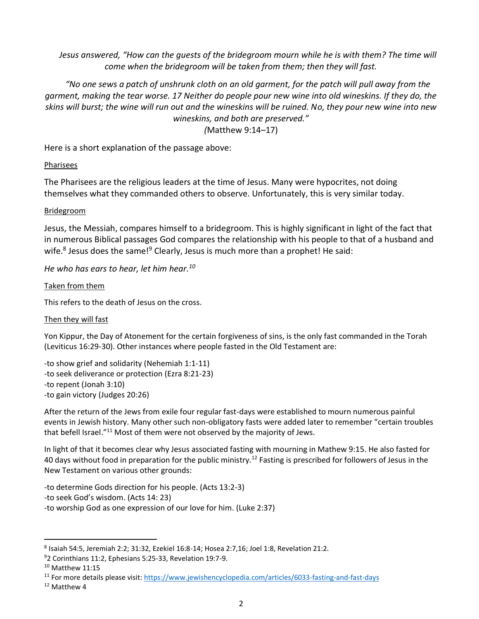*Jesus answered, "How can the guests of the bridegroom mourn while he is with them? The time will come when the bridegroom will be taken from them; then they will fast.*

*"No one sews a patch of unshrunk cloth on an old garment, for the patch will pull away from the garment, making the tear worse. 17 Neither do people pour new wine into old wineskins. If they do, the skins will burst; the wine will run out and the wineskins will be ruined. No, they pour new wine into new wineskins, and both are preserved."* 

*(*Matthew 9:14–17)

Here is a short explanation of the passage above:

## Pharisees

The Pharisees are the religious leaders at the time of Jesus. Many were hypocrites, not doing themselves what they commanded others to observe. Unfortunately, this is very similar today.

#### **Bridegroom**

Jesus, the Messiah, compares himself to a bridegroom. This is highly significant in light of the fact that in numerous Biblical passages God compares the relationship with his people to that of a husband and wife.<sup>8</sup> Jesus does the same!<sup>9</sup> Clearly, Jesus is much more than a prophet! He said:

*He who has ears to hear, let him hear.<sup>10</sup>*

#### Taken from them

This refers to the death of Jesus on the cross.

## Then they will fast

Yon Kippur, the Day of Atonement for the certain forgiveness of sins, is the only fast commanded in the Torah (Leviticus 16:29-30). Other instances where people fasted in the Old Testament are:

-to show grief and solidarity (Nehemiah 1:1-11) -to seek deliverance or protection (Ezra 8:21-23) -to repent (Jonah 3:10) -to gain victory (Judges 20:26)

After the return of the Jews from exile four regular fast-days were established to mourn numerous painful events in Jewish history. Many other such non-obligatory fasts were added later to remember "certain troubles that befell Israel."<sup>11</sup> Most of them were not observed by the majority of Jews.

In light of that it becomes clear why Jesus associated fasting with mourning in Mathew 9:15. He also fasted for 40 days without food in preparation for the public ministry.<sup>12</sup> Fasting is prescribed for followers of Jesus in the New Testament on various other grounds:

-to determine Gods direction for his people. (Acts 13:2-3) -to seek God's wisdom. (Acts 14: 23) -to worship God as one expression of our love for him. (Luke 2:37)

 $^8$  Isaiah 54:5, Jeremiah 2:2; 31:32, Ezekiel 16:8-14; Hosea 2:7,16; Joel 1:8, Revelation 21:2.

<sup>9</sup>2 Corinthians 11:2, Ephesians 5:25-33, Revelation 19:7-9.

 $10$  Matthew 11:15

<sup>11</sup> For more details please visit:<https://www.jewishencyclopedia.com/articles/6033-fasting-and-fast-days>

<sup>12</sup> Matthew 4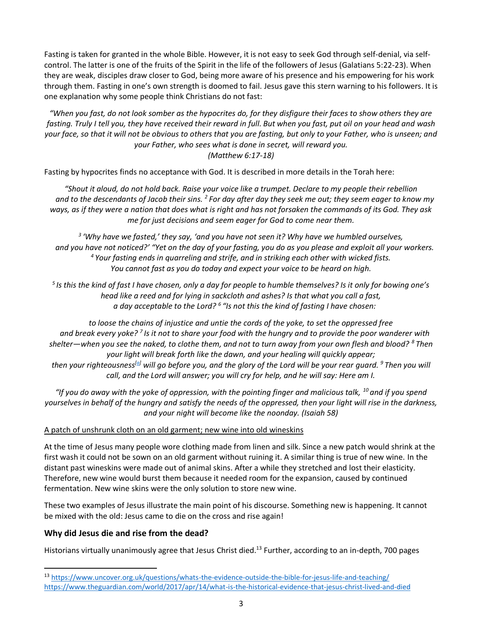Fasting is taken for granted in the whole Bible. However, it is not easy to seek God through self-denial, via selfcontrol. The latter is one of the fruits of the Spirit in the life of the followers of Jesus (Galatians 5:22-23). When they are weak, disciples draw closer to God, being more aware of his presence and his empowering for his work through them. Fasting in one's own strength is doomed to fail. Jesus gave this stern warning to his followers. It is one explanation why some people think Christians do not fast:

*"When you fast, do not look somber as the hypocrites do, for they disfigure their faces to show others they are fasting. Truly I tell you, they have received their reward in full. But when you fast, put oil on your head and wash your face, so that it will not be obvious to others that you are fasting, but only to your Father, who is unseen; and your Father, who sees what is done in secret, will reward you. (Matthew 6:17-18)*

Fasting by hypocrites finds no acceptance with God. It is described in more details in the Torah here:

*"Shout it aloud, do not hold back. Raise your voice like a trumpet. Declare to my people their rebellion and to the descendants of Jacob their sins. <sup>2</sup> For day after day they seek me out; they seem eager to know my ways, as if they were a nation that does what is right and has not forsaken the commands of its God. They ask me for just decisions and seem eager for God to come near them.*

*3 'Why have we fasted,' they say, 'and you have not seen it? Why have we humbled ourselves, and you have not noticed?' "Yet on the day of your fasting, you do as you please and exploit all your workers. <sup>4</sup> Your fasting ends in quarreling and strife, and in striking each other with wicked fists. You cannot fast as you do today and expect your voice to be heard on high.*

*5 Is this the kind of fast I have chosen, only a day for people to humble themselves? Is it only for bowing one's head like a reed and for lying in sackcloth and ashes? Is that what you call a fast, a day acceptable to the Lord? <sup>6</sup> "Is not this the kind of fasting I have chosen:*

*to loose the chains of injustice and untie the cords of the yoke, to set the oppressed free and break every yoke? <sup>7</sup> Is it not to share your food with the hungry and to provide the poor wanderer with shelter—when you see the naked, to clothe them, and not to turn away from your own flesh and blood? <sup>8</sup> Then your light will break forth like the dawn, and your healing will quickly appear; then your righteousness[\[a\]](https://www.biblegateway.com/passage/?search=Isaiah%2058&version=NIV#fen-NIV-18795a) will go before you, and the glory of the Lord will be your rear guard. <sup>9</sup> Then you will call, and the Lord will answer; you will cry for help, and he will say: Here am I.*

*"If you do away with the yoke of oppression, with the pointing finger and malicious talk, <sup>10</sup> and if you spend yourselves in behalf of the hungry and satisfy the needs of the oppressed, then your light will rise in the darkness, and your night will become like the noonday. (Isaiah 58)*

## A patch of unshrunk cloth on an old garment; new wine into old wineskins

At the time of Jesus many people wore clothing made from linen and silk. Since a new patch would shrink at the first wash it could not be sown on an old garment without ruining it. A similar thing is true of new wine. In the distant past wineskins were made out of animal skins. After a while they stretched and lost their elasticity. Therefore, new wine would burst them because it needed room for the expansion, caused by continued fermentation. New wine skins were the only solution to store new wine.

These two examples of Jesus illustrate the main point of his discourse. Something new is happening. It cannot be mixed with the old: Jesus came to die on the cross and rise again!

## **Why did Jesus die and rise from the dead?**

Historians virtually unanimously agree that Jesus Christ died.<sup>13</sup> Further, according to an in-depth, 700 pages

<sup>13</sup> <https://www.uncover.org.uk/questions/whats-the-evidence-outside-the-bible-for-jesus-life-and-teaching/> <https://www.theguardian.com/world/2017/apr/14/what-is-the-historical-evidence-that-jesus-christ-lived-and-died>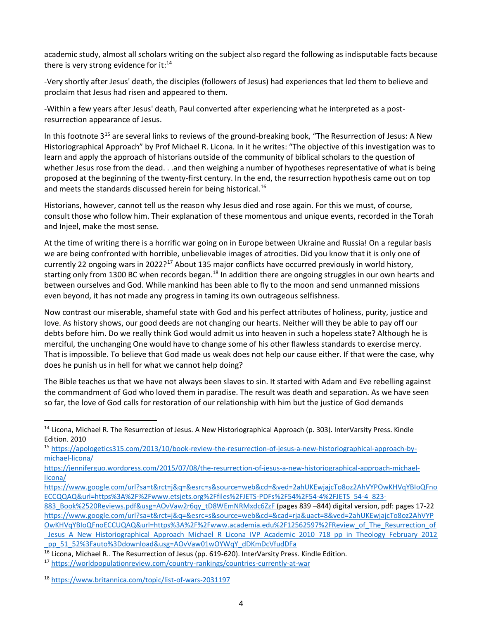academic study, almost all scholars writing on the subject also regard the following as indisputable facts because there is very strong evidence for it: $^{14}$ 

-Very shortly after Jesus' death, the disciples (followers of Jesus) had experiences that led them to believe and proclaim that Jesus had risen and appeared to them.

-Within a few years after Jesus' death, Paul converted after experiencing what he interpreted as a postresurrection appearance of Jesus.

In this footnote  $3^{15}$  are several links to reviews of the ground-breaking book, "The Resurrection of Jesus: A New Historiographical Approach" by Prof Michael R. Licona. In it he writes: "The objective of this investigation was to learn and apply the approach of historians outside of the community of biblical scholars to the question of whether Jesus rose from the dead. . .and then weighing a number of hypotheses representative of what is being proposed at the beginning of the twenty-first century. In the end, the resurrection hypothesis came out on top and meets the standards discussed herein for being historical.<sup>16</sup>

Historians, however, cannot tell us the reason why Jesus died and rose again. For this we must, of course, consult those who follow him. Their explanation of these momentous and unique events, recorded in the Torah and Injeel, make the most sense.

At the time of writing there is a horrific war going on in Europe between Ukraine and Russia! On a regular basis we are being confronted with horrible, unbelievable images of atrocities. Did you know that it is only one of currently 22 ongoing wars in 2022?<sup>17</sup> About 135 major conflicts have occurred previously in world history, starting only from 1300 BC when records began.<sup>18</sup> In addition there are ongoing struggles in our own hearts and between ourselves and God. While mankind has been able to fly to the moon and send unmanned missions even beyond, it has not made any progress in taming its own outrageous selfishness.

Now contrast our miserable, shameful state with God and his perfect attributes of holiness, purity, justice and love. As history shows, our good deeds are not changing our hearts. Neither will they be able to pay off our debts before him. Do we really think God would admit us into heaven in such a hopeless state? Although he is merciful, the unchanging One would have to change some of his other flawless standards to exercise mercy. That is impossible. To believe that God made us weak does not help our cause either. If that were the case, why does he punish us in hell for what we cannot help doing?

The Bible teaches us that we have not always been slaves to sin. It started with Adam and Eve rebelling against the commandment of God who loved them in paradise. The result was death and separation. As we have seen so far, the love of God calls for restoration of our relationship with him but the justice of God demands

 $14$  Licona, Michael R. The Resurrection of Jesus. A New Historiographical Approach (p. 303). InterVarsity Press. Kindle Edition. 2010

<sup>15</sup> [https://apologetics315.com/2013/10/book-review-the-resurrection-of-jesus-a-new-historiographical-approach-by](https://apologetics315.com/2013/10/book-review-the-resurrection-of-jesus-a-new-historiographical-approach-by-michael-licona/)[michael-licona/](https://apologetics315.com/2013/10/book-review-the-resurrection-of-jesus-a-new-historiographical-approach-by-michael-licona/)

[https://jenniferguo.wordpress.com/2015/07/08/the-resurrection-of-jesus-a-new-historiographical-approach-michael](https://jenniferguo.wordpress.com/2015/07/08/the-resurrection-of-jesus-a-new-historiographical-approach-michael-licona/)[licona/](https://jenniferguo.wordpress.com/2015/07/08/the-resurrection-of-jesus-a-new-historiographical-approach-michael-licona/)

[https://www.google.com/url?sa=t&rct=j&q=&esrc=s&source=web&cd=&ved=2ahUKEwjajcTo8oz2AhVYPOwKHVqYBIoQFno](https://www.google.com/url?sa=t&rct=j&q=&esrc=s&source=web&cd=&ved=2ahUKEwjajcTo8oz2AhVYPOwKHVqYBIoQFnoECCQQAQ&url=https%3A%2F%2Fwww.etsjets.org%2Ffiles%2FJETS-PDFs%2F54%2F54-4%2FJETS_54-4_823-883_Book%2520Reviews.pdf&usg=AOvVaw2r6qy_tD8WEmNRMxdc6ZzF) [ECCQQAQ&url=https%3A%2F%2Fwww.etsjets.org%2Ffiles%2FJETS-PDFs%2F54%2F54-4%2FJETS\\_54-4\\_823-](https://www.google.com/url?sa=t&rct=j&q=&esrc=s&source=web&cd=&ved=2ahUKEwjajcTo8oz2AhVYPOwKHVqYBIoQFnoECCQQAQ&url=https%3A%2F%2Fwww.etsjets.org%2Ffiles%2FJETS-PDFs%2F54%2F54-4%2FJETS_54-4_823-883_Book%2520Reviews.pdf&usg=AOvVaw2r6qy_tD8WEmNRMxdc6ZzF)

[<sup>883</sup>\\_Book%2520Reviews.pdf&usg=AOvVaw2r6qy\\_tD8WEmNRMxdc6ZzF](https://www.google.com/url?sa=t&rct=j&q=&esrc=s&source=web&cd=&ved=2ahUKEwjajcTo8oz2AhVYPOwKHVqYBIoQFnoECCQQAQ&url=https%3A%2F%2Fwww.etsjets.org%2Ffiles%2FJETS-PDFs%2F54%2F54-4%2FJETS_54-4_823-883_Book%2520Reviews.pdf&usg=AOvVaw2r6qy_tD8WEmNRMxdc6ZzF) (pages 839 -844) digital version, pdf: pages 17-22 [https://www.google.com/url?sa=t&rct=j&q=&esrc=s&source=web&cd=&cad=rja&uact=8&ved=2ahUKEwjajcTo8oz2AhVYP](https://www.google.com/url?sa=t&rct=j&q=&esrc=s&source=web&cd=&cad=rja&uact=8&ved=2ahUKEwjajcTo8oz2AhVYPOwKHVqYBIoQFnoECCUQAQ&url=https%3A%2F%2Fwww.academia.edu%2F12562597%2FReview_of_The_Resurrection_of_Jesus_A_New_Historiographical_Approach_Michael_R_Licona_IVP_Academic_2010_718_pp_in_Theology_February_2012_pp_51_52%3Fauto%3Ddownload&usg=AOvVaw01wOYWqY_dDKmDcVfudDFa) [OwKHVqYBIoQFnoECCUQAQ&url=https%3A%2F%2Fwww.academia.edu%2F12562597%2FReview\\_of\\_The\\_Resurrection\\_of](https://www.google.com/url?sa=t&rct=j&q=&esrc=s&source=web&cd=&cad=rja&uact=8&ved=2ahUKEwjajcTo8oz2AhVYPOwKHVqYBIoQFnoECCUQAQ&url=https%3A%2F%2Fwww.academia.edu%2F12562597%2FReview_of_The_Resurrection_of_Jesus_A_New_Historiographical_Approach_Michael_R_Licona_IVP_Academic_2010_718_pp_in_Theology_February_2012_pp_51_52%3Fauto%3Ddownload&usg=AOvVaw01wOYWqY_dDKmDcVfudDFa) Jesus A New Historiographical Approach Michael R Licona IVP Academic 2010 718 pp in Theology February 2012 pp\_51\_52%3Fauto%3Ddownload&usg=AOvVaw01wOYWqY\_dDKmDcVfudDFa

<sup>&</sup>lt;sup>16</sup> Licona, Michael R.. The Resurrection of Jesus (pp. 619-620). InterVarsity Press. Kindle Edition.

<sup>&</sup>lt;sup>17</sup> <https://worldpopulationreview.com/country-rankings/countries-currently-at-war>

<sup>18</sup> <https://www.britannica.com/topic/list-of-wars-2031197>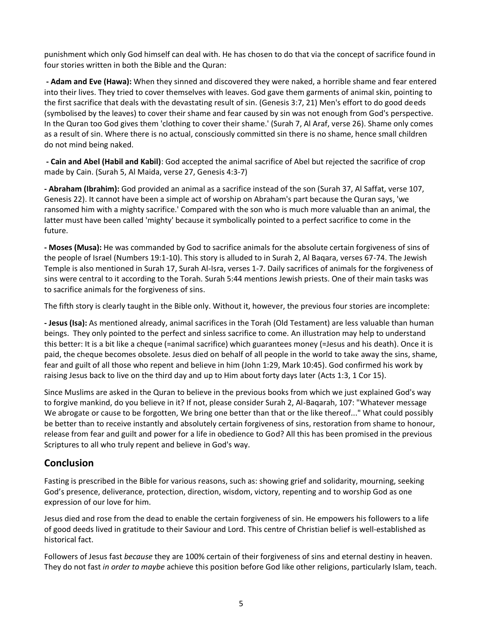punishment which only God himself can deal with. He has chosen to do that via the concept of sacrifice found in four stories written in both the Bible and the Quran:

**- Adam and Eve (Hawa):** When they sinned and discovered they were naked, a horrible shame and fear entered into their lives. They tried to cover themselves with leaves. God gave them garments of animal skin, pointing to the first sacrifice that deals with the devastating result of sin. (Genesis 3:7, 21) Men's effort to do good deeds (symbolised by the leaves) to cover their shame and fear caused by sin was not enough from God's perspective. In the Quran too God gives them 'clothing to cover their shame.' (Surah 7, Al Araf, verse 26). Shame only comes as a result of sin. Where there is no actual, consciously committed sin there is no shame, hence small children do not mind being naked.

**- Cain and Abel (Habil and Kabil)**: God accepted the animal sacrifice of Abel but rejected the sacrifice of crop made by Cain. (Surah 5, Al Maida, verse 27, Genesis 4:3-7)

**- Abraham (Ibrahim):** God provided an animal as a sacrifice instead of the son (Surah 37, Al Saffat, verse 107, Genesis 22). It cannot have been a simple act of worship on Abraham's part because the Quran says, 'we ransomed him with a mighty sacrifice.' Compared with the son who is much more valuable than an animal, the latter must have been called 'mighty' because it symbolically pointed to a perfect sacrifice to come in the future.

**- Moses (Musa):** He was commanded by God to sacrifice animals for the absolute certain forgiveness of sins of the people of Israel (Numbers 19:1-10). This story is alluded to in Surah 2, Al Baqara, verses 67-74. The Jewish Temple is also mentioned in Surah 17, Surah Al-Isra, verses 1-7. Daily sacrifices of animals for the forgiveness of sins were central to it according to the Torah. Surah 5:44 mentions Jewish priests. One of their main tasks was to sacrifice animals for the forgiveness of sins.

The fifth story is clearly taught in the Bible only. Without it, however, the previous four stories are incomplete:

**- Jesus (Isa):** As mentioned already, animal sacrifices in the Torah (Old Testament) are less valuable than human beings. They only pointed to the perfect and sinless sacrifice to come. An illustration may help to understand this better: It is a bit like a cheque (=animal sacrifice) which guarantees money (=Jesus and his death). Once it is paid, the cheque becomes obsolete. Jesus died on behalf of all people in the world to take away the sins, shame, fear and guilt of all those who repent and believe in him (John 1:29, Mark 10:45). God confirmed his work by raising Jesus back to live on the third day and up to Him about forty days later (Acts 1:3, 1 Cor 15).

Since Muslims are asked in the Quran to believe in the previous books from which we just explained God's way to forgive mankind, do you believe in it? If not, please consider Surah 2, Al-Baqarah, 107: "Whatever message We abrogate or cause to be forgotten, We bring one better than that or the like thereof..." What could possibly be better than to receive instantly and absolutely certain forgiveness of sins, restoration from shame to honour, release from fear and guilt and power for a life in obedience to God? All this has been promised in the previous Scriptures to all who truly repent and believe in God's way.

## **Conclusion**

Fasting is prescribed in the Bible for various reasons, such as: showing grief and solidarity, mourning, seeking God's presence, deliverance, protection, direction, wisdom, victory, repenting and to worship God as one expression of our love for him.

Jesus died and rose from the dead to enable the certain forgiveness of sin. He empowers his followers to a life of good deeds lived in gratitude to their Saviour and Lord. This centre of Christian belief is well-established as historical fact.

Followers of Jesus fast *because* they are 100% certain of their forgiveness of sins and eternal destiny in heaven. They do not fast *in order to maybe* achieve this position before God like other religions, particularly Islam, teach.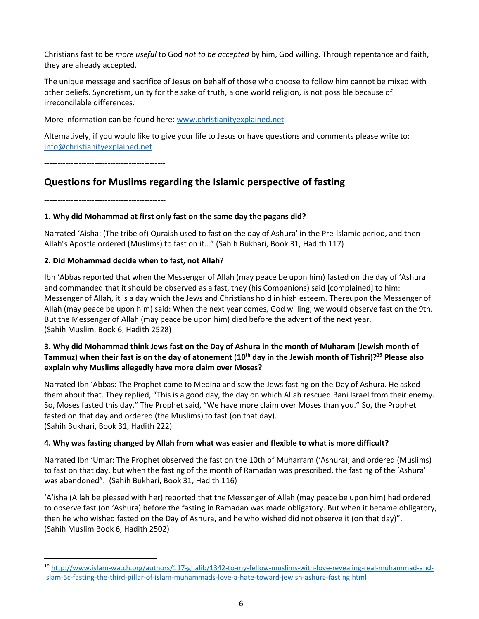Christians fast to be *more useful* to God *not to be accepted* by him, God willing. Through repentance and faith, they are already accepted.

The unique message and sacrifice of Jesus on behalf of those who choose to follow him cannot be mixed with other beliefs. Syncretism, unity for the sake of truth, a one world religion, is not possible because of irreconcilable differences.

More information can be found here: [www.christianityexplained.net](http://www.christianityexplained.net/)

Alternatively, if you would like to give your life to Jesus or have questions and comments please write to: [info@christianityexplained.net](mailto:info@christianityexplained.net)

**----------------------------------------------**

## **Questions for Muslims regarding the Islamic perspective of fasting**

**----------------------------------------------**

## **1. Why did Mohammad at first only fast on the same day the pagans did?**

Narrated 'Aisha: (The tribe of) Quraish used to fast on the day of Ashura' in the Pre-lslamic period, and then Allah's Apostle ordered (Muslims) to fast on it…" (Sahih Bukhari, Book 31, Hadith 117)

## **2. Did Mohammad decide when to fast, not Allah?**

Ibn 'Abbas reported that when the Messenger of Allah (may peace be upon him) fasted on the day of 'Ashura and commanded that it should be observed as a fast, they (his Companions) said [complained] to him: Messenger of Allah, it is a day which the Jews and Christians hold in high esteem. Thereupon the Messenger of Allah (may peace be upon him) said: When the next year comes, God willing, we would observe fast on the 9th. But the Messenger of Allah (may peace be upon him) died before the advent of the next year. (Sahih Muslim, Book 6, Hadith 2528)

## **3. Why did Mohammad think Jews fast on the Day of Ashura in the month of Muharam (Jewish month of Tammuz) when their fast is on the day of atonement** (**10th day in the Jewish month of Tishri)? <sup>19</sup> Please also explain why Muslims allegedly have more claim over Moses?**

Narrated Ibn 'Abbas: The Prophet came to Medina and saw the Jews fasting on the Day of Ashura. He asked them about that. They replied, "This is a good day, the day on which Allah rescued Bani Israel from their enemy. So, Moses fasted this day." The Prophet said, "We have more claim over Moses than you." So, the Prophet fasted on that day and ordered (the Muslims) to fast (on that day). (Sahih Bukhari, Book 31, Hadith 222)

## **4. Why was fasting changed by Allah from what was easier and flexible to what is more difficult?**

Narrated Ibn 'Umar: The Prophet observed the fast on the 10th of Muharram ('Ashura), and ordered (Muslims) to fast on that day, but when the fasting of the month of Ramadan was prescribed, the fasting of the 'Ashura' was abandoned". (Sahih Bukhari, Book 31, Hadith 116)

'A'isha (Allah be pleased with her) reported that the Messenger of Allah (may peace be upon him) had ordered to observe fast (on 'Ashura) before the fasting in Ramadan was made obligatory. But when it became obligatory, then he who wished fasted on the Day of Ashura, and he who wished did not observe it (on that day)". (Sahih Muslim Book 6, Hadith 2502)

<sup>19</sup> [http://www.islam-watch.org/authors/117-ghalib/1342-to-my-fellow-muslims-with-love-revealing-real-muhammad-and](http://www.islam-watch.org/authors/117-ghalib/1342-to-my-fellow-muslims-with-love-revealing-real-muhammad-and-islam-5c-fasting-the-third-pillar-of-islam-muhammads-love-a-hate-toward-jewish-ashura-fasting.html)[islam-5c-fasting-the-third-pillar-of-islam-muhammads-love-a-hate-toward-jewish-ashura-fasting.html](http://www.islam-watch.org/authors/117-ghalib/1342-to-my-fellow-muslims-with-love-revealing-real-muhammad-and-islam-5c-fasting-the-third-pillar-of-islam-muhammads-love-a-hate-toward-jewish-ashura-fasting.html)